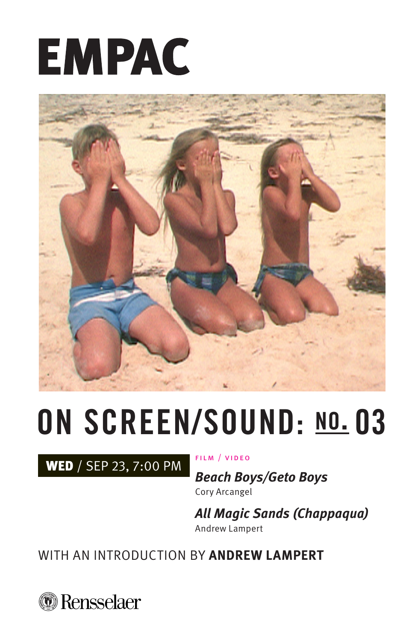# **EMPAC**



## **ON SCREEN/SOUND: no. 03**

WED / SEP 23, 7:00 PM

FILM / VIDEO

**Beach Boys/Geto Boys** Cory Arcangel

**All Magic Sands (Chappaqua)** Andrew Lampert

WITH AN INTRODUCTION BY **ANDREW LAMPERT**

*<u>* Rensselaer</u>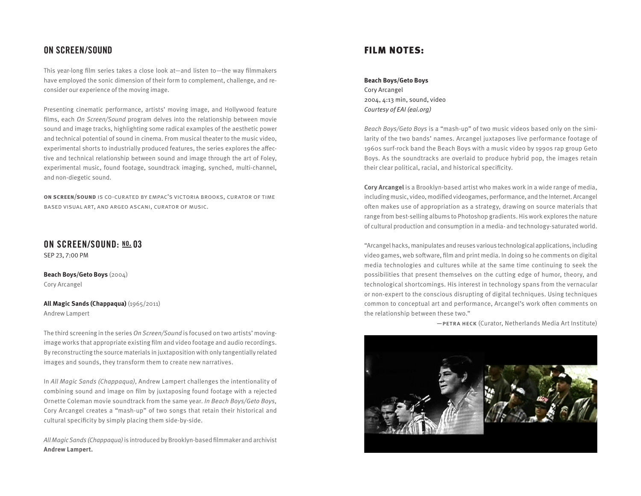#### **ON SCREEN/SOUND**

This year-long film series takes a close look at—and listen to—the way filmmakers have employed the sonic dimension of their form to complement, challenge, and reconsider our experience of the moving image.

Presenting cinematic performance, artists' moving image, and Hollywood feature films, each On Screen/Sound program delves into the relationship between movie sound and image tracks, highlighting some radical examples of the aesthetic power and technical potential of sound in cinema. From musical theater to the music video, experimental shorts to industrially produced features, the series explores the affective and technical relationship between sound and image through the art of Foley, experimental music, found footage, soundtrack imaging, synched, multi-channel, and non-diegetic sound.

**on screen/sound** is co-curated by empac's victoria brooks, curator of time based visual art, and argeo ascani, curator of music.

#### **ON SCREEN/SOUND: no. 03**

SEP 23, 7:00 PM

**Beach Boys/Geto Boys** (2004) Cory Arcangel

**All Magic Sands (Chappaqua)** (1965/2011) Andrew Lampert

The third screening in the series On Screen/Sound is focused on two artists' movingimage works that appropriate existing film and video footage and audio recordings. By reconstructing the source materials in juxtaposition with only tangentially related images and sounds, they transform them to create new narratives.

In All Magic Sands (Chappaqua), Andrew Lampert challenges the intentionality of combining sound and image on film by juxtaposing found footage with a rejected Ornette Coleman movie soundtrack from the same year. In Beach Boys/Geto Boys, Cory Arcangel creates a "mash-up" of two songs that retain their historical and cultural specificity by simply placing them side-by-side.

All Magic Sands (Chappaqua) is introduced by Brooklyn-based filmmaker and archivist **Andrew Lampert.**

#### FILM NOTES:

#### **Beach Boys/Geto Boys**

Cory Arcangel 2004, 4:13 min, sound, video Courtesy of EAI (eai.org)

Beach Boys/Geto Boys is a "mash-up" of two music videos based only on the similarity of the two bands' names. Arcangel juxtaposes live performance footage of 1960s surf-rock band the Beach Boys with a music video by 1990s rap group Geto Boys. As the soundtracks are overlaid to produce hybrid pop, the images retain their clear political, racial, and historical specificity.

**Cory Arcangel** is a Brooklyn-based artist who makes work in a wide range of media, including music, video, modified videogames, performance, and the Internet. Arcangel often makes use of appropriation as a strategy, drawing on source materials that range from best-selling albums to Photoshop gradients. His work explores the nature of cultural production and consumption in a media- and technology-saturated world.

"Arcangel hacks, manipulates and reuses various technological applications, including video games, web software, film and print media. In doing so he comments on digital media technologies and cultures while at the same time continuing to seek the possibilities that present themselves on the cutting edge of humor, theory, and technological shortcomings. His interest in technology spans from the vernacular or non-expert to the conscious disrupting of digital techniques. Using techniques common to conceptual art and performance, Arcangel's work often comments on the relationship between these two."

—petra heck (Curator, Netherlands Media Art Institute)

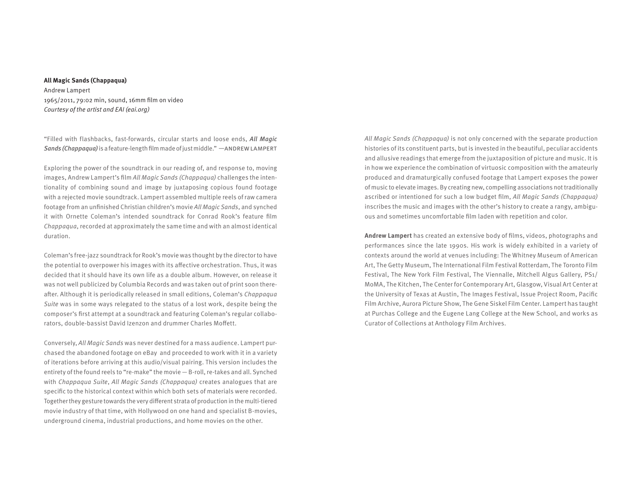#### **All Magic Sands (Chappaqua)**

Andrew Lampert 1965/2011, 79:02 min, sound, 16mm film on video Courtesy of the artist and EAI (eai.org)

"Filled with flashbacks, fast-forwards, circular starts and loose ends, All Magic Sands (Chappaqua) is a feature-length film made of just middle." —ANDREW LAMPERT

Exploring the power of the soundtrack in our reading of, and response to, moving images, Andrew Lampert's film All Magic Sands (Chappaqua) challenges the intentionality of combining sound and image by juxtaposing copious found footage with a rejected movie soundtrack. Lampert assembled multiple reels of raw camera footage from an unfinished Christian children's movie All Magic Sands, and synched it with Ornette Coleman's intended soundtrack for Conrad Rook's feature film Chappaqua, recorded at approximately the same time and with an almost identical duration.

Coleman's free-jazz soundtrack for Rook's movie was thought by the director to have the potential to overpower his images with its affective orchestration. Thus, it was decided that it should have its own life as a double album. However, on release it was not well publicized by Columbia Records and was taken out of print soon thereafter. Although it is periodically released in small editions, Coleman's Chappaqua Suite was in some ways relegated to the status of a lost work, despite being the composer's first attempt at a soundtrack and featuring Coleman's regular collaborators, double-bassist David Izenzon and drummer Charles Moffett.

Conversely, All Magic Sands was never destined for a mass audience. Lampert purchased the abandoned footage on eBay and proceeded to work with it in a variety of iterations before arriving at this audio/visual pairing. This version includes the entirety of the found reels to "re-make" the movie — B-roll, re-takes and all. Synched with Chappaqua Suite, All Magic Sands (Chappaqua) creates analogues that are specific to the historical context within which both sets of materials were recorded. Together they gesture towards the very different strata of production in the multi-tiered movie industry of that time, with Hollywood on one hand and specialist B-movies, underground cinema, industrial productions, and home movies on the other.

All Magic Sands (Chappaqua) is not only concerned with the separate production histories of its constituent parts, but is invested in the beautiful, peculiar accidents and allusive readings that emerge from the juxtaposition of picture and music. It is in how we experience the combination of virtuosic composition with the amateurly produced and dramaturgically confused footage that Lampert exposes the power of music to elevate images. By creating new, compelling associations not traditionally ascribed or intentioned for such a low budget film, All Magic Sands (Chappaqua) inscribes the music and images with the other's history to create a rangy, ambiguous and sometimes uncomfortable film laden with repetition and color.

**Andrew Lampert** has created an extensive body of films, videos, photographs and performances since the late 1990s. His work is widely exhibited in a variety of contexts around the world at venues including: The Whitney Museum of American Art, The Getty Museum, The International Film Festival Rotterdam, The Toronto Film Festival, The New York Film Festival, The Viennalle, Mitchell Algus Gallery, PS1/ MoMA, The Kitchen, The Center for Contemporary Art, Glasgow, Visual Art Center at the University of Texas at Austin, The Images Festival, Issue Project Room, Pacific Film Archive, Aurora Picture Show, The Gene Siskel Film Center. Lampert has taught at Purchas College and the Eugene Lang College at the New School, and works as Curator of Collections at Anthology Film Archives.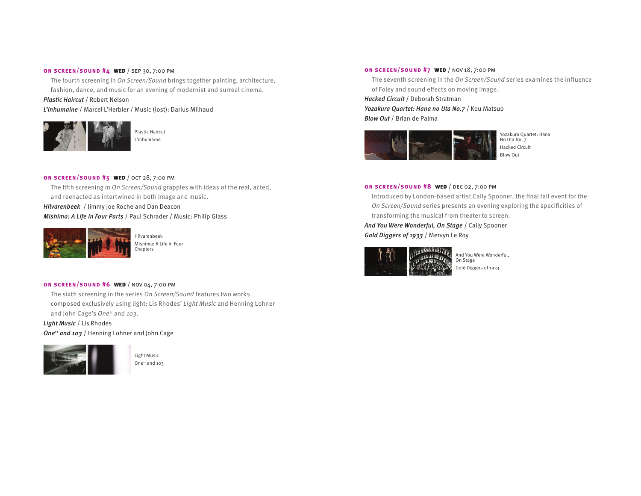#### **on screen/sound #4** wed / sep 30, 7:00 pm

The fourth screening in On Screen/Sound brings together painting, architecture, fashion, dance, and music for an evening of modernist and surreal cinema.

#### Plastic Haircut / Robert Nelson

L'inhumaine / Marcel L'Herbier / Music (lost): Darius Milhaud



**on screen/sound #5** wed / oct 28, 7:00 pm The fifth screening in On Screen/Sound grapples with ideas of the real, acted, and reenacted as intertwined in both image and music.

Hilvarenbeek / Jimmy Joe Roche and Dan Deacon

Mishima: A Life in Four Parts / Paul Schrader / Music: Philip Glass



Hilvarenbeek Mishima: A Life in Four Chapters

#### **on screen/sound #6** wed / nov 04, 7:00 pm

The sixth screening in the series On Screen/Sound features two works composed exclusively using light: Lis Rhodes' Light Music and Henning Lohner and John Cage's One<sup>11</sup> and 103.

Light Music / Lis Rhodes One<sup>11</sup> and 103 / Henning Lohner and John Cage



Light Music One<sup>11</sup> and 103

#### **on screen/sound #7** wed / nov 18, 7:00 pm

The seventh screening in the On Screen/Sound series examines the influence of Foley and sound effects on moving image.

Hacked Circuit / Deborah Stratman

Yozakura Quartet: Hana no Uta No.7 / Kou Matsuo Blow Out / Brian de Palma



Yozakura Quartet: Hana No Uta No. 7 Hacked Circuit Blow Out

#### **on screen/sound #8** wed / dec 02, 7:00 pm

Introduced by London-based artist Cally Spooner, the final fall event for the On Screen/Sound series presents an evening exploring the specificities of transforming the musical from theater to screen.

And You Were Wonderful, On Stage / Cally Spooner Gold Diggers of 1933 / Mervyn Le Roy



And You Were Wonderful, On Stage Gold Diggers of 1933